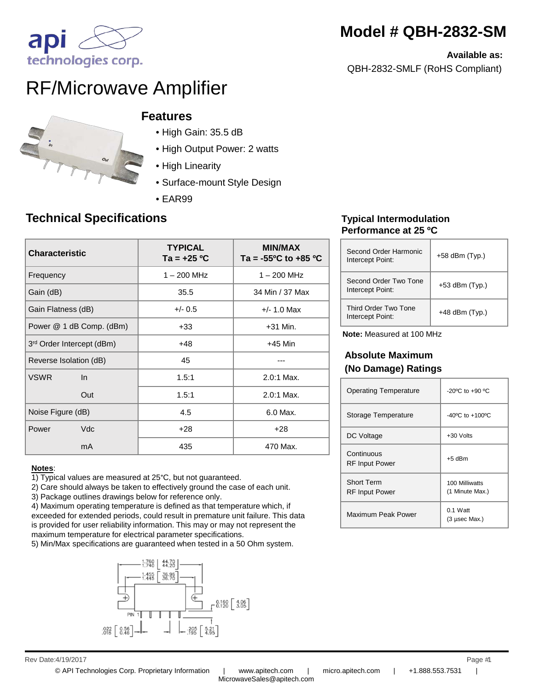# **Model # QBH-2832-SM**

**Available as:** 

QBH-2832-SMLF (RoHS Compliant)

# ap technologies corp.

# RF/Microwave Amplifier



#### **Features**

- High Gain: 35.5 dB
- High Output Power: 2 watts
- High Linearity
- Surface-mount Style Design
- EAR99

## **Technical Specifications**

| <b>Characteristic</b>     | <b>TYPICAL</b><br>Ta = +25 ºC | <b>MIN/MAX</b><br>Ta = $-55^{\circ}$ C to $+85^{\circ}$ C |
|---------------------------|-------------------------------|-----------------------------------------------------------|
| Frequency                 | $1 - 200$ MHz                 | $1 - 200$ MHz                                             |
| Gain (dB)                 | 35.5                          | 34 Min / 37 Max                                           |
| Gain Flatness (dB)        | $+/- 0.5$                     | $+/- 1.0$ Max                                             |
| Power @ 1 dB Comp. (dBm)  | $+33$                         | $+31$ Min.                                                |
| 3rd Order Intercept (dBm) | +48                           | $+45$ Min                                                 |
| Reverse Isolation (dB)    | 45                            |                                                           |
| <b>VSWR</b><br>$\ln$      | 1.5:1                         | 2.0:1 Max.                                                |
| Out                       | 1.5:1                         | $2.0:1$ Max.                                              |
| Noise Figure (dB)         | 4.5                           | 6.0 Max.                                                  |
| Vdc<br>Power              | $+28$                         | $+28$                                                     |
| mA                        | 435                           | 470 Max.                                                  |

#### **Notes**:

1) Typical values are measured at 25°C, but not guaranteed.

2) Care should always be taken to effectively ground the case of each unit.

3) Package outlines drawings below for reference only.

4) Maximum operating temperature is defined as that temperature which, if exceeded for extended periods, could result in premature unit failure. This data is provided for user reliability information. This may or may not represent the maximum temperature for electrical parameter specifications.

5) Min/Max specifications are guaranteed when tested in a 50 Ohm system.



#### **Typical Intermodulation Performance at 25 ºC**

| Second Order Harmonic<br>Intercept Point: | $+58$ dBm (Typ.) |
|-------------------------------------------|------------------|
| Second Order Two Tone<br>Intercept Point: | $+53$ dBm (Typ.) |
| Third Order Two Tone<br>Intercept Point:  | $+48$ dBm (Typ.) |

**Note:** Measured at 100 MHz

#### **Absolute Maximum (No Damage) Ratings**

| <b>Operating Temperature</b>               | $-20^{\circ}$ C to $+90^{\circ}$ C  |
|--------------------------------------------|-------------------------------------|
| Storage Temperature                        | $-40^{\circ}$ C to $+100^{\circ}$ C |
| DC Voltage                                 | +30 Volts                           |
| Continuous<br><b>RF Input Power</b>        | $+5$ dBm                            |
| <b>Short Term</b><br><b>RF Input Power</b> | 100 Milliwatts<br>(1 Minute Max.)   |
| Maximum Peak Power                         | $0.1$ Watt<br>$(3 \,\mu$ sec Max.)  |

Rev Date: 4/19/2017 Page #1 4/19/2017 1

MicrowaveSales@apitech.com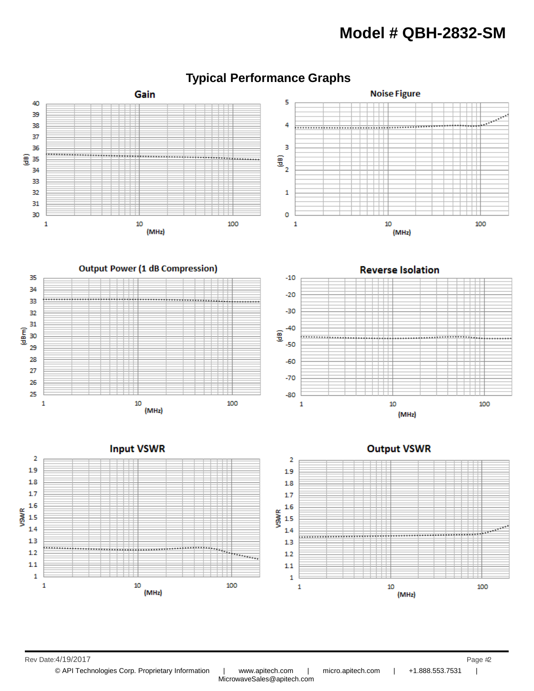## **Model # QBH-2832-SM**



### **Typical Performance Graphs**

Rev Date: 4/19/2017 Page #2

© API Technologies Corp. Proprietary Information | www.apitech.com | micro.apitech.com | +1.888.553.7531 |

MicrowaveSales@apitech.com